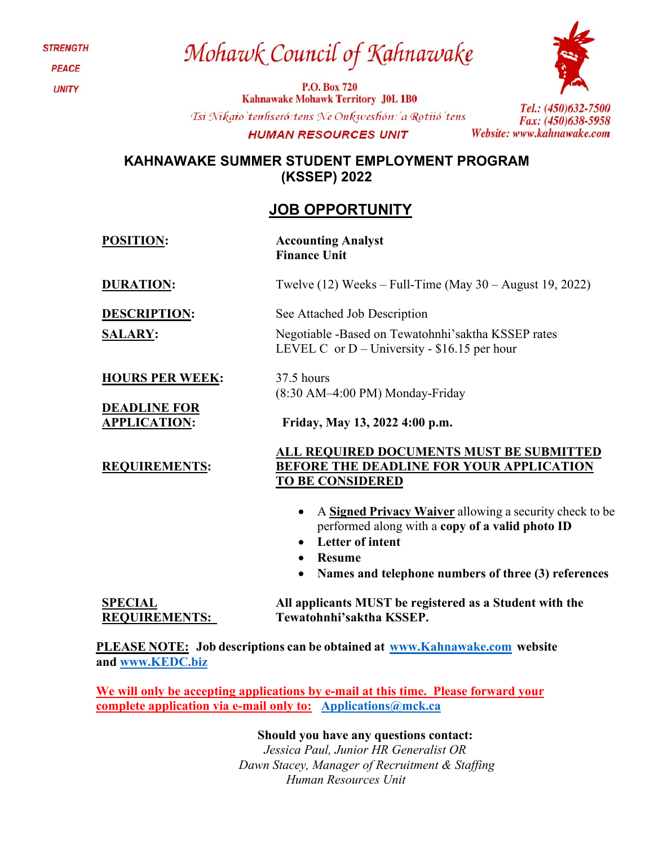Mohawk Council of Kahnawake

**P.O. Box 720 Kahnawake Mohawk Territory J0L 1B0** Tsi Nikaio'tenhseró: tens Ne Onkweshón: 'a Rotiió'tens **HUMAN RESOURCES UNIT** 



Tel.: (450)632-7500 Fax: (450)638-5958 Website: www.kahnawake.com

### **KAHNAWAKE SUMMER STUDENT EMPLOYMENT PROGRAM (KSSEP) 2022**

## **JOB OPPORTUNITY**

**POSITION: Accounting Analyst Finance Unit**

37.5 hours

**DURATION:** Twelve (12) Weeks – Full-Time (May 30 – August 19, 2022)

Negotiable -Based on Tewatohnhi'saktha KSSEP rates

LEVEL C or  $D$  – University - \$16.15 per hour

**DESCRIPTION:** See Attached Job Description

**SALARY:** 

**HOURS PER WEEK:**

**DEADLINE FOR APPLICATION: Friday, May 13, 2022 4:00 p.m.**

**REQUIREMENTS:**

(8:30 AM–4:00 PM) Monday-Friday

### **ALL REQUIRED DOCUMENTS MUST BE SUBMITTED BEFORE THE DEADLINE FOR YOUR APPLICATION TO BE CONSIDERED**

- A **Signed Privacy Waiver** allowing a security check to be performed along with a **copy of a valid photo ID**
- **Letter of intent**
- **Resume**
- **Names and telephone numbers of three (3) references**

**SPECIAL REQUIREMENTS: All applicants MUST be registered as a Student with the Tewatohnhi'saktha KSSEP.**

**PLEASE NOTE: Job descriptions can be obtained at [www.Kahnawake.com](http://www.kahnawake.com/) website and [www.KEDC.biz](http://www.kedc.biz/)**

**We will only be accepting applications by e-mail at this time. Please forward your complete application via e-mail only to: [Applications@mck.ca](mailto:Applications@mck.ca)**

**Should you have any questions contact:**

*Jessica Paul, Junior HR Generalist OR Dawn Stacey, Manager of Recruitment & Staffing Human Resources Unit*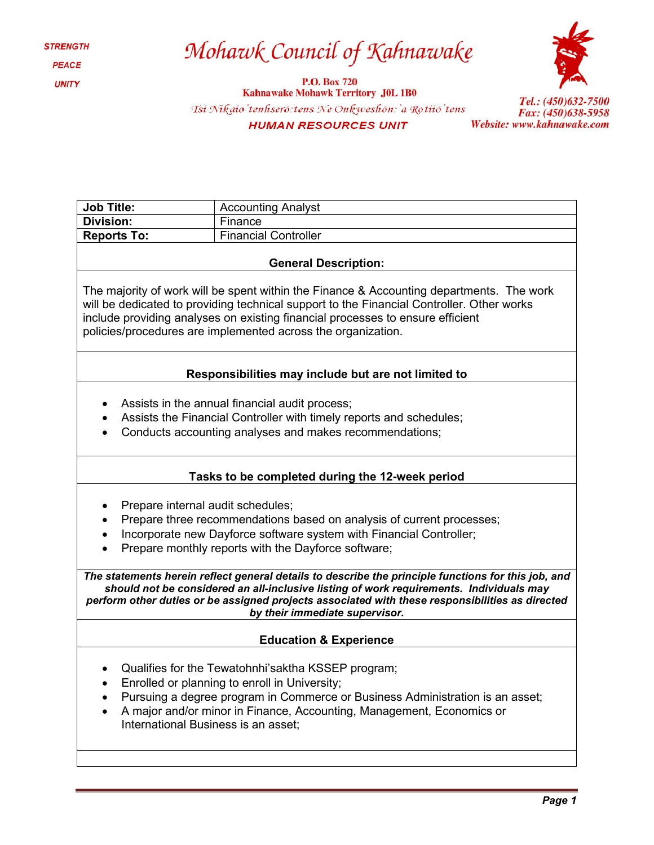# Mohawk Council of Kahnawake

P.O. Box 720<br>Kahnawake Mohawk Territory J0L 1B0 Tsi Nikaio'tenhseró: tens Ne Onkweshón: 'a Rotiió' tens **HUMAN RESOURCES UNIT** 



Tel.: (450)632-7500<br>Fax: (450)638-5958 Website: www.kahnawake.com

| <b>Job Title:</b>                                                                                                                                                                                                                                                                                                                       | <b>Accounting Analyst</b>   |
|-----------------------------------------------------------------------------------------------------------------------------------------------------------------------------------------------------------------------------------------------------------------------------------------------------------------------------------------|-----------------------------|
| <b>Division:</b>                                                                                                                                                                                                                                                                                                                        | Finance                     |
| <b>Reports To:</b>                                                                                                                                                                                                                                                                                                                      | <b>Financial Controller</b> |
| <b>General Description:</b>                                                                                                                                                                                                                                                                                                             |                             |
| The majority of work will be spent within the Finance & Accounting departments. The work<br>will be dedicated to providing technical support to the Financial Controller. Other works<br>include providing analyses on existing financial processes to ensure efficient<br>policies/procedures are implemented across the organization. |                             |
| Responsibilities may include but are not limited to                                                                                                                                                                                                                                                                                     |                             |
| Assists in the annual financial audit process;<br>Assists the Financial Controller with timely reports and schedules;<br>$\bullet$<br>Conducts accounting analyses and makes recommendations;<br>$\bullet$                                                                                                                              |                             |
| Tasks to be completed during the 12-week period                                                                                                                                                                                                                                                                                         |                             |
| Prepare internal audit schedules;<br>Prepare three recommendations based on analysis of current processes;<br>Incorporate new Dayforce software system with Financial Controller;<br>Prepare monthly reports with the Dayforce software;                                                                                                |                             |
| The statements herein reflect general details to describe the principle functions for this job, and<br>should not be considered an all-inclusive listing of work requirements. Individuals may<br>perform other duties or be assigned projects associated with these responsibilities as directed<br>by their immediate supervisor.     |                             |
| <b>Education &amp; Experience</b>                                                                                                                                                                                                                                                                                                       |                             |
| Qualifies for the Tewatohnhi's aktha KSSEP program;<br>Enrolled or planning to enroll in University;<br>Pursuing a degree program in Commerce or Business Administration is an asset;<br>A major and/or minor in Finance, Accounting, Management, Economics or<br>International Business is an asset;                                   |                             |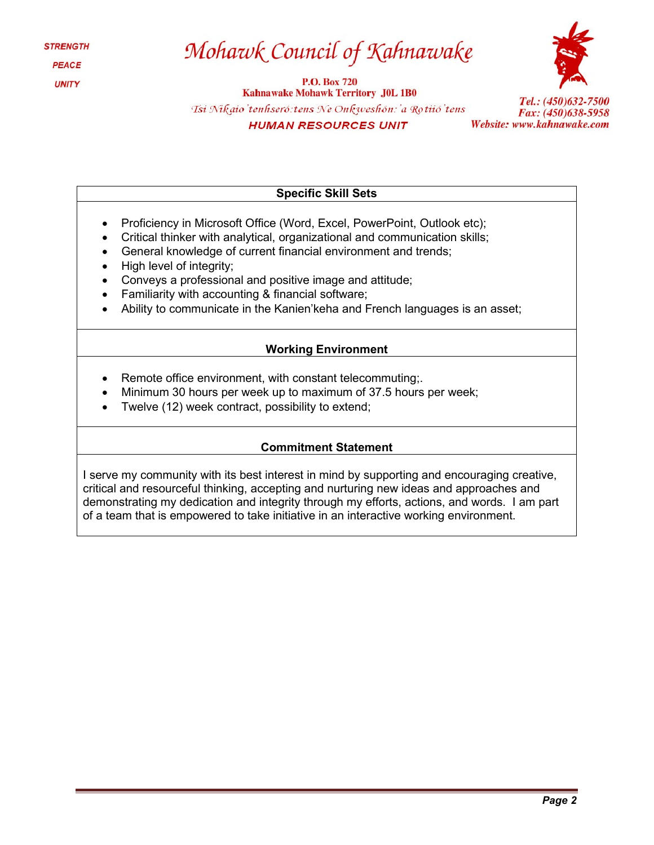# Mohawk Council of Kahnawake

**P.O. Box 720 Kahnawake Mohawk Territory J0L 1B0** Tsi Nikaio'tenhseró: tens Ne Onkweshón: 'a Rotiió' tens **HUMAN RESOURCES UNIT** 



Tel.: (450)632-7500 Fax: (450)638-5958 Website: www.kahnawake.com

#### **Specific Skill Sets**

- Proficiency in Microsoft Office (Word, Excel, PowerPoint, Outlook etc);
- Critical thinker with analytical, organizational and communication skills;
- General knowledge of current financial environment and trends;
- High level of integrity;
- Conveys a professional and positive image and attitude;
- Familiarity with accounting & financial software;
- Ability to communicate in the Kanien'keha and French languages is an asset;

### **Working Environment**

- Remote office environment, with constant telecommuting;
- Minimum 30 hours per week up to maximum of 37.5 hours per week;
- Twelve (12) week contract, possibility to extend;

### **Commitment Statement**

I serve my community with its best interest in mind by supporting and encouraging creative, critical and resourceful thinking, accepting and nurturing new ideas and approaches and demonstrating my dedication and integrity through my efforts, actions, and words. I am part of a team that is empowered to take initiative in an interactive working environment.